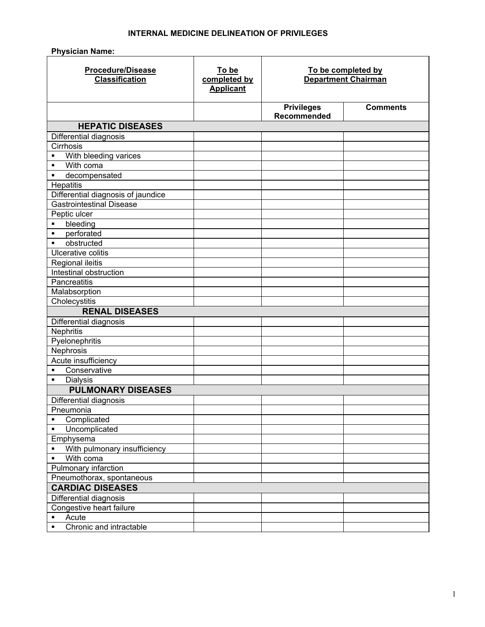## **INTERNAL MEDICINE DELINEATION OF PRIVILEGES**

**Physician Name:** 

| <b>Procedure/Disease</b><br><b>Classification</b> | To be<br>completed by<br><b>Applicant</b> | To be completed by<br><b>Department Chairman</b> |                 |
|---------------------------------------------------|-------------------------------------------|--------------------------------------------------|-----------------|
|                                                   |                                           | <b>Privileges</b><br>Recommended                 | <b>Comments</b> |
| <b>HEPATIC DISEASES</b>                           |                                           |                                                  |                 |
| Differential diagnosis                            |                                           |                                                  |                 |
| Cirrhosis                                         |                                           |                                                  |                 |
| With bleeding varices<br>$\blacksquare$           |                                           |                                                  |                 |
| With coma<br>$\blacksquare$                       |                                           |                                                  |                 |
| decompensated<br>П                                |                                           |                                                  |                 |
| Hepatitis                                         |                                           |                                                  |                 |
| Differential diagnosis of jaundice                |                                           |                                                  |                 |
| Gastrointestinal Disease                          |                                           |                                                  |                 |
| Peptic ulcer                                      |                                           |                                                  |                 |
| bleeding<br>$\blacksquare$                        |                                           |                                                  |                 |
| perforated<br>$\blacksquare$                      |                                           |                                                  |                 |
| obstructed<br>$\blacksquare$                      |                                           |                                                  |                 |
| Ulcerative colitis                                |                                           |                                                  |                 |
| <b>Regional ileitis</b>                           |                                           |                                                  |                 |
| Intestinal obstruction                            |                                           |                                                  |                 |
| Pancreatitis                                      |                                           |                                                  |                 |
| Malabsorption                                     |                                           |                                                  |                 |
| Cholecystitis<br><b>RENAL DISEASES</b>            |                                           |                                                  |                 |
|                                                   |                                           |                                                  |                 |
| Differential diagnosis<br>Nephritis               |                                           |                                                  |                 |
| Pyelonephritis                                    |                                           |                                                  |                 |
| Nephrosis                                         |                                           |                                                  |                 |
| Acute insufficiency                               |                                           |                                                  |                 |
| Conservative<br>$\blacksquare$                    |                                           |                                                  |                 |
| <b>Dialysis</b><br>$\blacksquare$                 |                                           |                                                  |                 |
| <b>PULMONARY DISEASES</b>                         |                                           |                                                  |                 |
| Differential diagnosis                            |                                           |                                                  |                 |
| Pneumonia                                         |                                           |                                                  |                 |
| Complicated<br>$\blacksquare$                     |                                           |                                                  |                 |
| Uncomplicated<br>$\blacksquare$                   |                                           |                                                  |                 |
| Emphysema                                         |                                           |                                                  |                 |
| With pulmonary insufficiency<br>$\blacksquare$    |                                           |                                                  |                 |
| With coma<br>$\blacksquare$                       |                                           |                                                  |                 |
| Pulmonary infarction                              |                                           |                                                  |                 |
| Pneumothorax, spontaneous                         |                                           |                                                  |                 |
| <b>CARDIAC DISEASES</b>                           |                                           |                                                  |                 |
| Differential diagnosis                            |                                           |                                                  |                 |
| Congestive heart failure                          |                                           |                                                  |                 |
| Acute<br>$\blacksquare$                           |                                           |                                                  |                 |
| Chronic and intractable<br>$\blacksquare$         |                                           |                                                  |                 |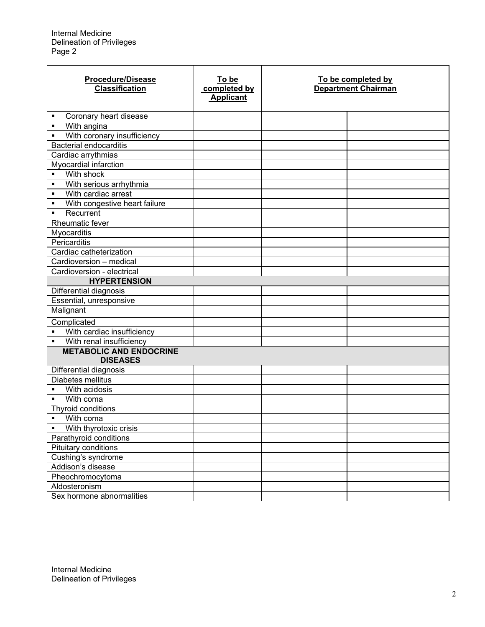| <b>Procedure/Disease</b><br><b>Classification</b> | To be<br>completed by<br><b>Applicant</b> | To be completed by<br><b>Department Chairman</b> |  |
|---------------------------------------------------|-------------------------------------------|--------------------------------------------------|--|
| Coronary heart disease<br>٠                       |                                           |                                                  |  |
| With angina<br>$\blacksquare$                     |                                           |                                                  |  |
| With coronary insufficiency<br>$\blacksquare$     |                                           |                                                  |  |
| <b>Bacterial endocarditis</b>                     |                                           |                                                  |  |
| Cardiac arrythmias                                |                                           |                                                  |  |
| Myocardial infarction                             |                                           |                                                  |  |
| With shock<br>$\blacksquare$                      |                                           |                                                  |  |
| With serious arrhythmia<br>$\blacksquare$         |                                           |                                                  |  |
| With cardiac arrest<br>$\blacksquare$             |                                           |                                                  |  |
| With congestive heart failure<br>$\blacksquare$   |                                           |                                                  |  |
| Recurrent<br>$\blacksquare$                       |                                           |                                                  |  |
| Rheumatic fever                                   |                                           |                                                  |  |
| Myocarditis                                       |                                           |                                                  |  |
| Pericarditis                                      |                                           |                                                  |  |
| Cardiac catheterization                           |                                           |                                                  |  |
| Cardioversion - medical                           |                                           |                                                  |  |
| Cardioversion - electrical                        |                                           |                                                  |  |
| <b>HYPERTENSION</b>                               |                                           |                                                  |  |
| Differential diagnosis                            |                                           |                                                  |  |
| Essential, unresponsive                           |                                           |                                                  |  |
| Malignant                                         |                                           |                                                  |  |
| Complicated                                       |                                           |                                                  |  |
| With cardiac insufficiency<br>$\blacksquare$      |                                           |                                                  |  |
| With renal insufficiency<br>$\blacksquare$        |                                           |                                                  |  |
| <b>METABOLIC AND ENDOCRINE</b>                    |                                           |                                                  |  |
| <b>DISEASES</b>                                   |                                           |                                                  |  |
| Differential diagnosis                            |                                           |                                                  |  |
| Diabetes mellitus                                 |                                           |                                                  |  |
| With acidosis                                     |                                           |                                                  |  |
| With coma<br>$\blacksquare$                       |                                           |                                                  |  |
| Thyroid conditions                                |                                           |                                                  |  |
| With coma<br>$\blacksquare$                       |                                           |                                                  |  |
| With thyrotoxic crisis<br>٠                       |                                           |                                                  |  |
| Parathyroid conditions                            |                                           |                                                  |  |
| Pituitary conditions                              |                                           |                                                  |  |
| Cushing's syndrome                                |                                           |                                                  |  |
| Addison's disease                                 |                                           |                                                  |  |
| Pheochromocytoma                                  |                                           |                                                  |  |
| Aldosteronism                                     |                                           |                                                  |  |
| Sex hormone abnormalities                         |                                           |                                                  |  |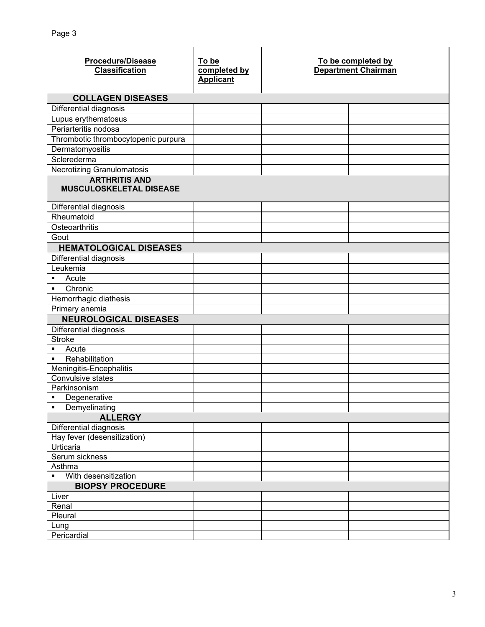| <b>Procedure/Disease</b><br><b>Classification</b> | To be<br>completed by<br><b>Applicant</b> | To be completed by<br><b>Department Chairman</b> |  |
|---------------------------------------------------|-------------------------------------------|--------------------------------------------------|--|
| <b>COLLAGEN DISEASES</b>                          |                                           |                                                  |  |
| Differential diagnosis                            |                                           |                                                  |  |
| Lupus erythematosus                               |                                           |                                                  |  |
| Periarteritis nodosa                              |                                           |                                                  |  |
| Thrombotic thrombocytopenic purpura               |                                           |                                                  |  |
| Dermatomyositis                                   |                                           |                                                  |  |
| Sclerederma                                       |                                           |                                                  |  |
| Necrotizing Granulomatosis                        |                                           |                                                  |  |
| <b>ARTHRITIS AND</b><br>MUSCULOSKELETAL DISEASE   |                                           |                                                  |  |
| Differential diagnosis                            |                                           |                                                  |  |
| Rheumatoid                                        |                                           |                                                  |  |
| Osteoarthritis                                    |                                           |                                                  |  |
| Gout                                              |                                           |                                                  |  |
| <b>HEMATOLOGICAL DISEASES</b>                     |                                           |                                                  |  |
| Differential diagnosis                            |                                           |                                                  |  |
| Leukemia                                          |                                           |                                                  |  |
| Acute<br>٠                                        |                                           |                                                  |  |
| Chronic<br>$\blacksquare$                         |                                           |                                                  |  |
| Hemorrhagic diathesis                             |                                           |                                                  |  |
| Primary anemia                                    |                                           |                                                  |  |
| <b>NEUROLOGICAL DISEASES</b>                      |                                           |                                                  |  |
| Differential diagnosis                            |                                           |                                                  |  |
| <b>Stroke</b>                                     |                                           |                                                  |  |
| Acute<br>$\blacksquare$                           |                                           |                                                  |  |
| Rehabilitation<br>$\blacksquare$                  |                                           |                                                  |  |
| Meningitis-Encephalitis                           |                                           |                                                  |  |
| Convulsive states                                 |                                           |                                                  |  |
| Parkinsonism                                      |                                           |                                                  |  |
| Degenerative<br>٠                                 |                                           |                                                  |  |
| Demyelinating<br>٠                                |                                           |                                                  |  |
| <b>ALLERGY</b>                                    |                                           |                                                  |  |
| <b>Differential diagnosis</b>                     |                                           |                                                  |  |
| Hay fever (desensitization)                       |                                           |                                                  |  |
| Urticaria                                         |                                           |                                                  |  |
| Serum sickness                                    |                                           |                                                  |  |
| Asthma                                            |                                           |                                                  |  |
| With desensitization<br>$\blacksquare$            |                                           |                                                  |  |
| <b>BIOPSY PROCEDURE</b>                           |                                           |                                                  |  |
| Liver                                             |                                           |                                                  |  |
| Renal                                             |                                           |                                                  |  |
| Pleural                                           |                                           |                                                  |  |
| Lung<br>Pericardial                               |                                           |                                                  |  |
|                                                   |                                           |                                                  |  |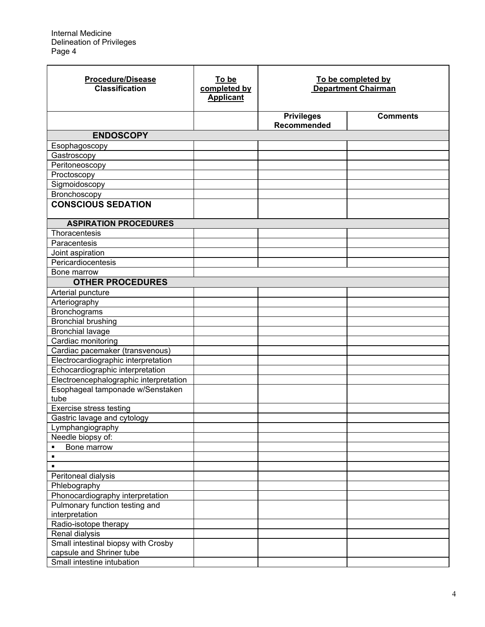| <b>Procedure/Disease</b><br><b>Classification</b> | To be<br>completed by<br><b>Applicant</b> | To be completed by<br>Department Chairman |                 |
|---------------------------------------------------|-------------------------------------------|-------------------------------------------|-----------------|
|                                                   |                                           | <b>Privileges</b><br>Recommended          | <b>Comments</b> |
| <b>ENDOSCOPY</b>                                  |                                           |                                           |                 |
| Esophagoscopy                                     |                                           |                                           |                 |
| Gastroscopy                                       |                                           |                                           |                 |
| Peritoneoscopy                                    |                                           |                                           |                 |
| Proctoscopy                                       |                                           |                                           |                 |
| Sigmoidoscopy                                     |                                           |                                           |                 |
| Bronchoscopy                                      |                                           |                                           |                 |
| <b>CONSCIOUS SEDATION</b>                         |                                           |                                           |                 |
| <b>ASPIRATION PROCEDURES</b>                      |                                           |                                           |                 |
| Thoracentesis                                     |                                           |                                           |                 |
| Paracentesis                                      |                                           |                                           |                 |
| Joint aspiration                                  |                                           |                                           |                 |
| Pericardiocentesis                                |                                           |                                           |                 |
| Bone marrow                                       |                                           |                                           |                 |
| <b>OTHER PROCEDURES</b>                           |                                           |                                           |                 |
| Arterial puncture                                 |                                           |                                           |                 |
| Arteriography                                     |                                           |                                           |                 |
| Bronchograms                                      |                                           |                                           |                 |
| <b>Bronchial brushing</b>                         |                                           |                                           |                 |
| <b>Bronchial lavage</b>                           |                                           |                                           |                 |
| Cardiac monitoring                                |                                           |                                           |                 |
| Cardiac pacemaker (transvenous)                   |                                           |                                           |                 |
| Electrocardiographic interpretation               |                                           |                                           |                 |
| Echocardiographic interpretation                  |                                           |                                           |                 |
| Electroencephalographic interpretation            |                                           |                                           |                 |
| Esophageal tamponade w/Senstaken                  |                                           |                                           |                 |
| tube                                              |                                           |                                           |                 |
| Exercise stress testing                           |                                           |                                           |                 |
| Gastric lavage and cytology                       |                                           |                                           |                 |
| Lymphangiography                                  |                                           |                                           |                 |
| Needle biopsy of:                                 |                                           |                                           |                 |
| Bone marrow<br>$\blacksquare$                     |                                           |                                           |                 |
| $\blacksquare$                                    |                                           |                                           |                 |
| ٠                                                 |                                           |                                           |                 |
| Peritoneal dialysis                               |                                           |                                           |                 |
| Phlebography                                      |                                           |                                           |                 |
| Phonocardiography interpretation                  |                                           |                                           |                 |
| Pulmonary function testing and<br>interpretation  |                                           |                                           |                 |
| Radio-isotope therapy                             |                                           |                                           |                 |
| Renal dialysis                                    |                                           |                                           |                 |
| Small intestinal biopsy with Crosby               |                                           |                                           |                 |
| capsule and Shriner tube                          |                                           |                                           |                 |
| Small intestine intubation                        |                                           |                                           |                 |
|                                                   |                                           |                                           |                 |